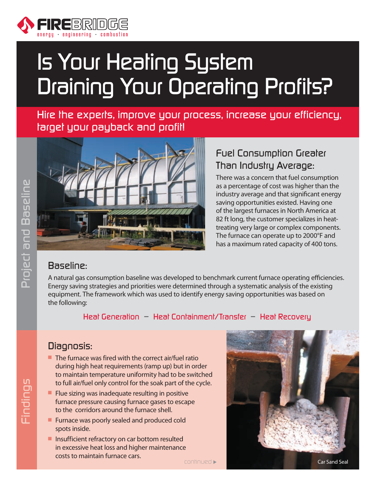

# Is Your Heating System Draining Your Operating Profits?

Hire the experts, improve your process, increase your efficiency, target your payback and profit!



## Fuel Consumption Greater Than Industry Average:

There was a concern that fuel consumption as a percentage of cost was higher than the industry average and that significant energy saving opportunities existed. Having one of the largest furnaces in North America at 82 ft long, the customer specializes in heattreating very large or complex components. The furnace can operate up to 2000°F and has a maximum rated capacity of 400 tons.

#### Baseline:

A natural gas consumption baseline was developed to benchmark current furnace operating efficiencies. Energy saving strategies and priorities were determined through a systematic analysis of the existing equipment. The framework which was used to identify energy saving opportunities was based on the following:

Heat Generation – Heat Containment/Transfer – Heat Recovery

#### Diagnosis:

- $\blacksquare$  The furnace was fired with the correct air/fuel ratio during high heat requirements (ramp up) but in order to maintain temperature uniformity had to be switched to full air/fuel only control for the soak part of the cycle.
- $\blacksquare$  Flue sizing was inadequate resulting in positive furnace pressure causing furnace gases to escape to the corridors around the furnace shell.
- **Furnace was poorly sealed and produced cold** spots inside.
- $\blacksquare$  Insufficient refractory on car bottom resulted in excessive heat loss and higher maintenance costs to maintain furnace cars.